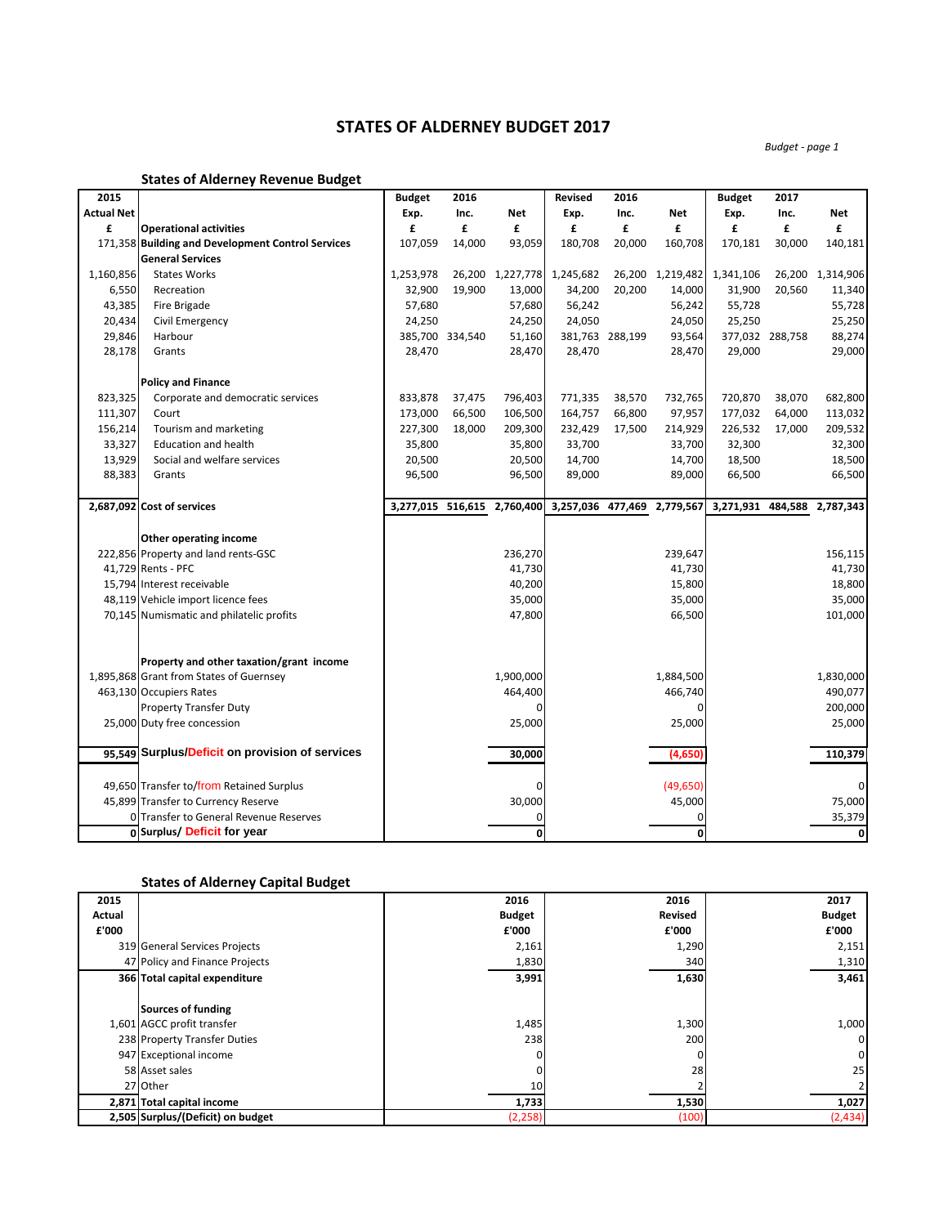## **STATES OF ALDERNEY BUDGET 2017**

*Budget - page 1*

|                   | <b>States of Alderney Revenue Budget</b>          |               |                 |                             |                |                 |                             |                   |                 |                  |
|-------------------|---------------------------------------------------|---------------|-----------------|-----------------------------|----------------|-----------------|-----------------------------|-------------------|-----------------|------------------|
| 2015              |                                                   | <b>Budget</b> | 2016            |                             | <b>Revised</b> | 2016            |                             | <b>Budget</b>     | 2017            |                  |
| <b>Actual Net</b> |                                                   | Exp.          | Inc.            | <b>Net</b>                  | Exp.           | Inc.            | Net                         | Exp.              | Inc.            | Net              |
| £                 | <b>Operational activities</b>                     | £             | £               | £                           | £              | £               | £                           | £                 | £               | £                |
|                   | 171,358 Building and Development Control Services | 107,059       | 14,000          | 93,059                      | 180,708        | 20,000          | 160,708                     | 170,181           | 30,000          | 140,181          |
|                   | <b>General Services</b>                           |               |                 |                             |                |                 |                             |                   |                 |                  |
| 1,160,856         | <b>States Works</b>                               | 1,253,978     |                 | 26,200 1,227,778            | 1,245,682      |                 | 26,200 1,219,482            | 1,341,106         |                 | 26,200 1,314,906 |
| 6,550             | Recreation                                        | 32,900        | 19,900          | 13,000                      | 34,200         | 20,200          | 14,000                      | 31,900            | 20,560          | 11,340           |
| 43,385            | Fire Brigade                                      | 57,680        |                 | 57,680                      | 56,242         |                 | 56,242                      | 55,728            |                 | 55,728           |
| 20,434            | Civil Emergency                                   | 24,250        |                 | 24,250                      | 24,050         |                 | 24,050                      | 25,250            |                 | 25,250           |
| 29,846            | Harbour                                           |               | 385,700 334,540 | 51,160                      |                | 381,763 288,199 | 93,564                      |                   | 377,032 288,758 | 88,274           |
| 28,178            | Grants                                            | 28,470        |                 | 28,470                      | 28,470         |                 | 28,470                      | 29,000            |                 | 29,000           |
|                   | <b>Policy and Finance</b>                         |               |                 |                             |                |                 |                             |                   |                 |                  |
| 823,325           | Corporate and democratic services                 | 833,878       | 37,475          | 796,403                     | 771,335        | 38,570          | 732,765                     | 720,870           | 38,070          | 682,800          |
| 111,307           | Court                                             | 173,000       | 66,500          | 106,500                     | 164,757        | 66,800          | 97,957                      | 177,032           | 64,000          | 113,032          |
| 156,214           | Tourism and marketing                             | 227,300       | 18,000          | 209,300                     | 232,429        | 17,500          | 214,929                     | 226,532           | 17,000          | 209,532          |
| 33,327            | <b>Education and health</b>                       | 35,800        |                 | 35,800                      | 33,700         |                 | 33,700                      | 32,300            |                 | 32,300           |
| 13,929            | Social and welfare services                       | 20,500        |                 | 20,500                      | 14,700         |                 | 14,700                      | 18,500            |                 | 18,500           |
| 88,383            | Grants                                            | 96,500        |                 | 96,500                      | 89,000         |                 | 89,000                      | 66,500            |                 | 66,500           |
|                   |                                                   |               |                 |                             |                |                 |                             |                   |                 |                  |
|                   | 2,687,092 Cost of services                        |               |                 | 3,277,015 516,615 2,760,400 |                |                 | 3,257,036 477,469 2,779,567 | 3,271,931 484,588 |                 | 2,787,343        |
|                   | Other operating income                            |               |                 |                             |                |                 |                             |                   |                 |                  |
|                   | 222,856 Property and land rents-GSC               |               |                 | 236,270                     |                |                 | 239,647                     |                   |                 | 156,115          |
|                   | 41,729 Rents - PFC                                |               |                 | 41,730                      |                |                 | 41,730                      |                   |                 | 41,730           |
|                   | 15,794 Interest receivable                        |               |                 | 40,200                      |                |                 | 15,800                      |                   |                 | 18,800           |
|                   | 48,119 Vehicle import licence fees                |               |                 | 35,000                      |                |                 | 35,000                      |                   |                 | 35,000           |
|                   | 70,145 Numismatic and philatelic profits          |               |                 | 47,800                      |                |                 | 66,500                      |                   |                 | 101,000          |
|                   |                                                   |               |                 |                             |                |                 |                             |                   |                 |                  |
|                   | Property and other taxation/grant income          |               |                 |                             |                |                 |                             |                   |                 |                  |
|                   | 1,895,868 Grant from States of Guernsey           |               |                 | 1,900,000                   |                |                 | 1,884,500                   |                   |                 | 1,830,000        |
|                   | 463,130 Occupiers Rates                           |               |                 | 464,400                     |                |                 | 466,740                     |                   |                 | 490,077          |
|                   | <b>Property Transfer Duty</b>                     |               |                 | $\Omega$                    |                |                 | 0                           |                   |                 | 200,000          |
|                   | 25,000 Duty free concession                       |               |                 | 25,000                      |                |                 | 25,000                      |                   |                 | 25,000           |
|                   |                                                   |               |                 |                             |                |                 |                             |                   |                 |                  |
|                   | 95,549 Surplus/Deficit on provision of services   |               |                 | 30,000                      |                |                 | (4,650)                     |                   |                 | 110,379          |
|                   |                                                   |               |                 |                             |                |                 |                             |                   |                 |                  |
|                   | 49,650 Transfer to/from Retained Surplus          |               |                 |                             |                |                 | (49, 650)                   |                   |                 | $\mathbf 0$      |
|                   | 45,899 Transfer to Currency Reserve               |               |                 | 30,000                      |                |                 | 45,000                      |                   |                 | 75,000           |
|                   | 0 Transfer to General Revenue Reserves            |               |                 |                             |                |                 | 0                           |                   |                 | 35,379           |
|                   | 0 Surplus/ Deficit for year                       |               |                 | $\mathbf 0$                 |                |                 | 0                           |                   |                 | 0                |

## **States of Alderney Capital Budget**

| 2015   |                                   | 2016          | 2016    | 2017          |
|--------|-----------------------------------|---------------|---------|---------------|
| Actual |                                   | <b>Budget</b> | Revised | <b>Budget</b> |
| £'000  |                                   | £'000         | £'000   | £'000         |
|        | 319 General Services Projects     | 2,161         | 1,290   | 2,151         |
|        | 47 Policy and Finance Projects    | 1,830         | 340     | 1,310         |
|        | 366 Total capital expenditure     | 3,991         | 1,630   | 3,461         |
|        |                                   |               |         |               |
|        | Sources of funding                |               |         |               |
|        | 1,601 AGCC profit transfer        | 1,485         | 1,300   | 1,000         |
|        | 238 Property Transfer Duties      | 238           | 200     | $\mathbf 0$   |
|        | 947 Exceptional income            | 0             |         | $\mathbf 0$   |
|        | 58 Asset sales                    |               | 28      | 25            |
|        | 27 Other                          | 10            |         |               |
|        | 2,871 Total capital income        | 1,733         | 1,530   | 1,027         |
|        | 2,505 Surplus/(Deficit) on budget | (2, 258)      | (100)   | (2,434)       |